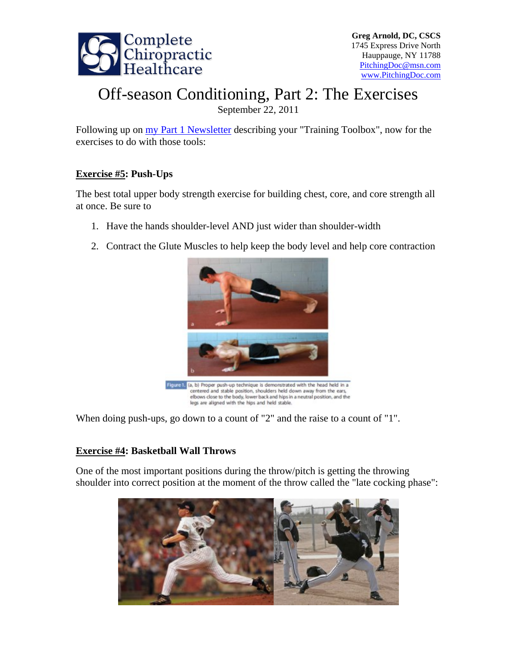

# Off-season Conditioning, Part 2: The Exercises

September 22, 2011

Following up on my Part 1 Newsletter describing your "Training Toolbox", now for the exercises to do with those tools:

## **Exercise #5: Push-Ups**

The best total upper body strength exercise for building chest, core, and core strength all at once. Be sure to

- 1. Have the hands shoulder-level AND just wider than shoulder-width
- 2. Contract the Glute Muscles to help keep the body level and help core contraction



When doing push-ups, go down to a count of "2" and the raise to a count of "1".

## **Exercise #4: Basketball Wall Throws**

One of the most important positions during the throw/pitch is getting the throwing shoulder into correct position at the moment of the throw called the "late cocking phase":

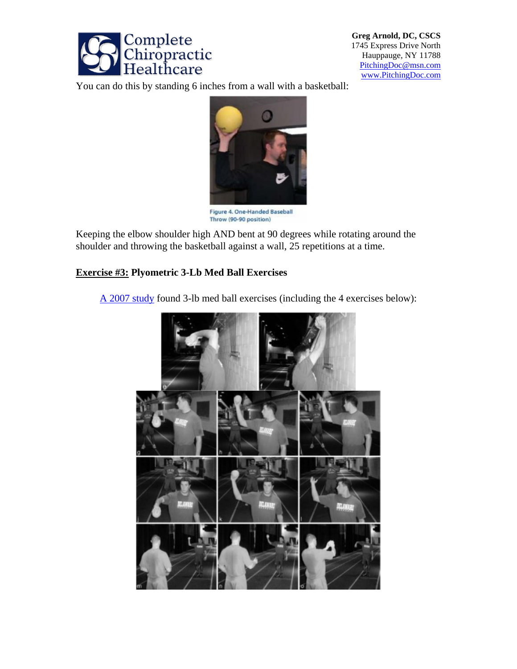

**Greg Arnold, DC, CSCS**  1745 Express Drive North Hauppauge, NY 11788 PitchingDoc@msn.com www.PitchingDoc.com

You can do this by standing 6 inches from a wall with a basketball:



Figure 4. One-Handed Baseball Throw (90-90 position)

Keeping the elbow shoulder high AND bent at 90 degrees while rotating around the shoulder and throwing the basketball against a wall, 25 repetitions at a time.

#### **Exercise #3: Plyometric 3-Lb Med Ball Exercises**

A 2007 study found 3-lb med ball exercises (including the 4 exercises below):

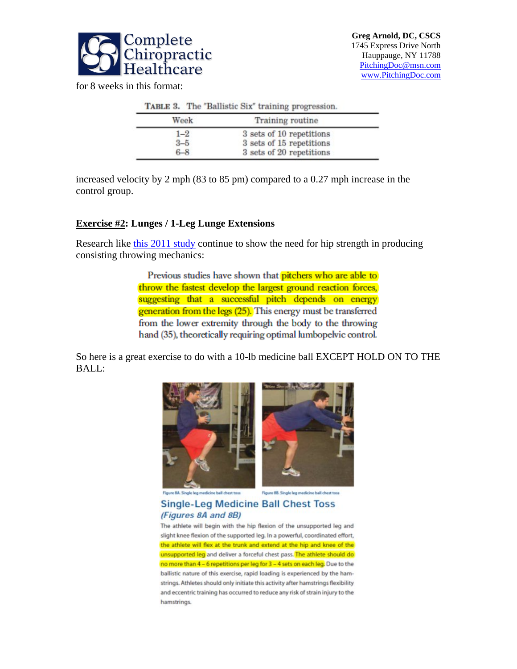

for 8 weeks in this format:

| TABLE 3. The "Ballistic Six" training progression. |                                                      |  |  |  |
|----------------------------------------------------|------------------------------------------------------|--|--|--|
| Week                                               | <b>Training routine</b>                              |  |  |  |
| $1 - 2$<br>$3 - 5$                                 | 3 sets of 10 repetitions<br>3 sets of 15 repetitions |  |  |  |
| $6 - 8$                                            | 3 sets of 20 repetitions                             |  |  |  |

increased velocity by 2 mph (83 to 85 pm) compared to a 0.27 mph increase in the control group.

#### **Exercise #2: Lunges / 1-Leg Lunge Extensions**

Research like this 2011 study continue to show the need for hip strength in producing consisting throwing mechanics:

> Previous studies have shown that pitchers who are able to throw the fastest develop the largest ground reaction forces. suggesting that a successful pitch depends on energy generation from the legs (25). This energy must be transferred from the lower extremity through the body to the throwing hand (35), theoretically requiring optimal lumbopelvic control.

So here is a great exercise to do with a 10-lb medicine ball EXCEPT HOLD ON TO THE BALL:





re BA. Single leg medicine ball chest toss

**Single-Leg Medicine Ball Chest Toss** (Figures 8A and 8B)

The athlete will begin with the hip flexion of the unsupported leg and slight knee flexion of the supported leg. In a powerful, coordinated effort, the athlete will flex at the trunk and extend at the hip and knee of the unsupported leg and deliver a forceful chest pass. The athlete should do no more than 4 - 6 repetitions per leg for 3 - 4 sets on each leg. Due to the ballistic nature of this exercise, rapid loading is experienced by the hamstrings. Athletes should only initiate this activity after hamstrings flexibility and eccentric training has occurred to reduce any risk of strain injury to the hamstrings.